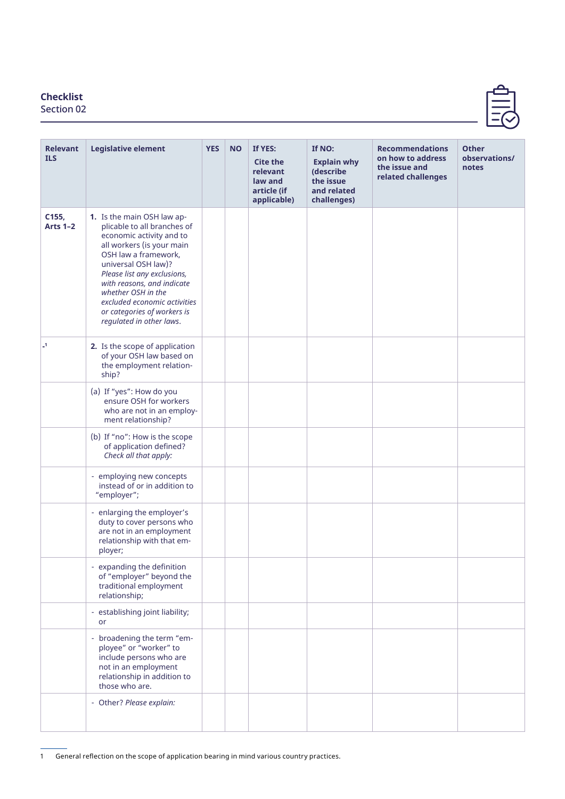## **Checklist**

Section 02

| <b>Relevant</b><br><b>ILS</b> | <b>Legislative element</b>                                                                                                                                                                                                                                                                                                                      | <b>YES</b> | <b>NO</b> | If YES:<br><b>Cite the</b><br>relevant<br>law and<br>article (if<br>applicable) | If NO:<br><b>Explain why</b><br>(describe<br>the issue<br>and related<br>challenges) | <b>Recommendations</b><br>on how to address<br>the issue and<br>related challenges | <b>Other</b><br>observations/<br>notes |
|-------------------------------|-------------------------------------------------------------------------------------------------------------------------------------------------------------------------------------------------------------------------------------------------------------------------------------------------------------------------------------------------|------------|-----------|---------------------------------------------------------------------------------|--------------------------------------------------------------------------------------|------------------------------------------------------------------------------------|----------------------------------------|
| C155,<br><b>Arts 1-2</b>      | 1. Is the main OSH law ap-<br>plicable to all branches of<br>economic activity and to<br>all workers (is your main<br>OSH law a framework,<br>universal OSH law)?<br>Please list any exclusions,<br>with reasons, and indicate<br>whether OSH in the<br>excluded economic activities<br>or categories of workers is<br>regulated in other laws. |            |           |                                                                                 |                                                                                      |                                                                                    |                                        |
| $\mathbf{I}$                  | 2. Is the scope of application<br>of your OSH law based on<br>the employment relation-<br>ship?                                                                                                                                                                                                                                                 |            |           |                                                                                 |                                                                                      |                                                                                    |                                        |
|                               | (a) If "yes": How do you<br>ensure OSH for workers<br>who are not in an employ-<br>ment relationship?                                                                                                                                                                                                                                           |            |           |                                                                                 |                                                                                      |                                                                                    |                                        |
|                               | (b) If "no": How is the scope<br>of application defined?<br>Check all that apply:                                                                                                                                                                                                                                                               |            |           |                                                                                 |                                                                                      |                                                                                    |                                        |
|                               | - employing new concepts<br>instead of or in addition to<br>"employer";                                                                                                                                                                                                                                                                         |            |           |                                                                                 |                                                                                      |                                                                                    |                                        |
|                               | - enlarging the employer's<br>duty to cover persons who<br>are not in an employment<br>relationship with that em-<br>ployer;                                                                                                                                                                                                                    |            |           |                                                                                 |                                                                                      |                                                                                    |                                        |
|                               | - expanding the definition<br>of "employer" beyond the<br>traditional employment<br>relationship;                                                                                                                                                                                                                                               |            |           |                                                                                 |                                                                                      |                                                                                    |                                        |
|                               | - establishing joint liability;<br>or                                                                                                                                                                                                                                                                                                           |            |           |                                                                                 |                                                                                      |                                                                                    |                                        |
|                               | - broadening the term "em-<br>ployee" or "worker" to<br>include persons who are<br>not in an employment<br>relationship in addition to<br>those who are.                                                                                                                                                                                        |            |           |                                                                                 |                                                                                      |                                                                                    |                                        |
|                               | - Other? Please explain:                                                                                                                                                                                                                                                                                                                        |            |           |                                                                                 |                                                                                      |                                                                                    |                                        |